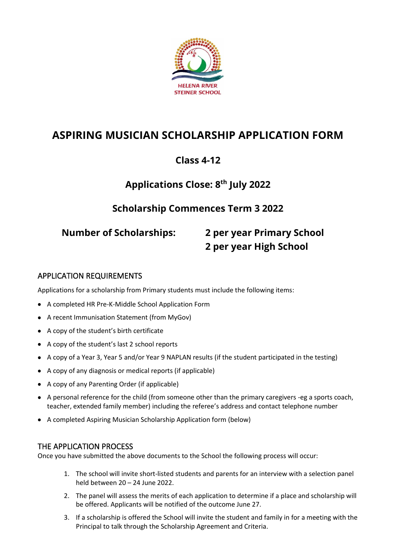

# **ASPIRING MUSICIAN SCHOLARSHIP APPLICATION FORM**

## **Class 4-12**

# **Applications Close: 8 th July 2022**

## **Scholarship Commences Term 3 2022**

# **Number of Scholarships: 2 per year Primary School 2 per year High School**

### APPLICATION REQUIREMENTS

Applications for a scholarship from Primary students must include the following items:

- A completed HR Pre-K-Middle School Application Form
- A recent Immunisation Statement (from MyGov)
- A copy of the student's birth certificate
- A copy of the student's last 2 school reports
- A copy of a Year 3, Year 5 and/or Year 9 NAPLAN results (if the student participated in the testing)
- A copy of any diagnosis or medical reports (if applicable)
- A copy of any Parenting Order (if applicable)
- A personal reference for the child (from someone other than the primary caregivers -eg a sports coach, teacher, extended family member) including the referee's address and contact telephone number
- A completed Aspiring Musician Scholarship Application form (below)

#### THE APPLICATION PROCESS

Once you have submitted the above documents to the School the following process will occur:

- 1. The school will invite short-listed students and parents for an interview with a selection panel held between 20 – 24 June 2022.
- 2. The panel will assess the merits of each application to determine if a place and scholarship will be offered. Applicants will be notified of the outcome June 27.
- 3. If a scholarship is offered the School will invite the student and family in for a meeting with the Principal to talk through the Scholarship Agreement and Criteria.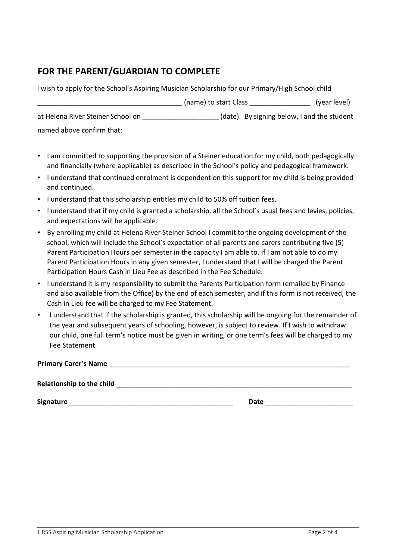## **FOR THE PARENT/GUARDIAN TO COMPLETE**

| I wish to apply for the School's Aspiring Musician Scholarship for our Primary/High School child |                                             |              |
|--------------------------------------------------------------------------------------------------|---------------------------------------------|--------------|
|                                                                                                  | (name) to start Class                       | (year level) |
| at Helena River Steiner School on                                                                | (date). By signing below, I and the student |              |
| named above confirm that:                                                                        |                                             |              |

- I am committed to supporting the provision of a Steiner education for my child, both pedagogically and financially (where applicable) as described in the School's policy and pedagogical framework.
- I understand that continued enrolment is dependent on this support for my child is being provided and continued.
- I understand that this scholarship entitles my child to 50% off tuition fees.
- I understand that if my child is granted a scholarship, all the School's usual fees and levies, policies, and expectations will be applicable.
- By enrolling my child at Helena River Steiner School I commit to the ongoing development of the school, which will include the School's expectation of all parents and carers contributing five (5) Parent Participation Hours per semester in the capacity I am able to. If I am not able to do my Parent Participation Hours in any given semester, I understand that I will be charged the Parent Participation Hours Cash in Lieu Fee as described in the Fee Schedule.
- I understand it is my responsibility to submit the Parents Participation form (emailed by Finance and also available from the Office) by the end of each semester, and if this form is not received, the Cash in Lieu fee will be charged to my Fee Statement.
- I understand that if the scholarship is granted, this scholarship will be ongoing for the remainder of the year and subsequent years of schooling, however, is subject to review. If I wish to withdraw our child, one full term's notice must be given in writing, or one term's fees will be charged to my Fee Statement.

**Primary Carer's Name** \_\_\_\_\_\_\_\_\_\_\_\_\_\_\_\_\_\_\_\_\_\_\_\_\_\_\_\_\_\_\_\_\_\_\_\_\_\_\_\_\_\_\_\_\_\_\_\_\_\_\_\_\_\_\_\_\_\_\_\_\_\_\_

Relationship to the child **and the child and the set of the set of the set of the set of the set of the set of the set of the set of the set of the set of the set of the set of the set of the set of the set of the set of** 

**Signature** \_\_\_\_\_\_\_\_\_\_\_\_\_\_\_\_\_\_\_\_\_\_\_\_\_\_\_\_\_\_\_\_\_\_\_\_\_\_\_\_\_\_\_ **Date** \_\_\_\_\_\_\_\_\_\_\_\_\_\_\_\_\_\_\_\_\_\_\_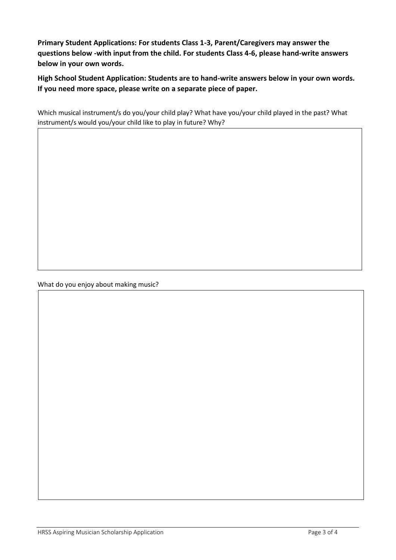**Primary Student Applications: For students Class 1-3, Parent/Caregivers may answer the questions below -with input from the child. For students Class 4-6, please hand-write answers below in your own words.**

**High School Student Application: Students are to hand-write answers below in your own words. If you need more space, please write on a separate piece of paper.**

Which musical instrument/s do you/your child play? What have you/your child played in the past? What instrument/s would you/your child like to play in future? Why?

What do you enjoy about making music?